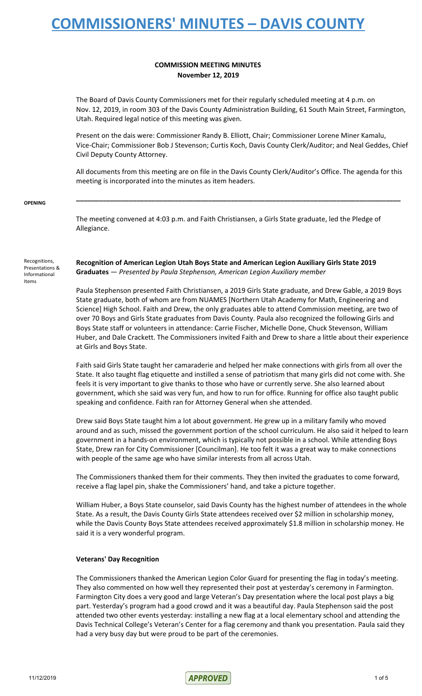## **COMMISSION MEETING MINUTES November 12, 2019**

The Board of Davis County Commissioners met for their regularly scheduled meeting at 4 p.m. on Nov. 12, 2019, in room 303 of the Davis County Administration Building, 61 South Main Street, Farmington, Utah. Required legal notice of this meeting was given.

Present on the dais were: Commissioner Randy B. Elliott, Chair; Commissioner Lorene Miner Kamalu, Vice-Chair; Commissioner Bob J Stevenson; Curtis Koch, Davis County Clerk/Auditor; and Neal Geddes, Chief Civil Deputy County Attorney.

All documents from this meeting are on file in the Davis County Clerk/Auditor's Office. The agenda for this meeting is incorporated into the minutes as item headers.

**\_\_\_\_\_\_\_\_\_\_\_\_\_\_\_\_\_\_\_\_\_\_\_\_\_\_\_\_\_\_\_\_\_\_\_\_\_\_\_\_\_\_\_\_\_\_\_\_\_\_\_\_\_\_\_\_\_\_\_\_\_\_\_\_\_\_\_\_\_\_\_\_\_\_\_\_\_\_\_\_\_\_\_\_\_\_**

### **OPENING**

The meeting convened at 4:03 p.m. and Faith Christiansen, a Girls State graduate, led the Pledge of Allegiance.

Recognitions, Presentations & Informational Items

**Recognition of American Legion Utah Boys State and American Legion Auxiliary Girls State 2019 Graduates** — *Presented by Paula Stephenson, American Legion Auxiliary member*

Paula Stephenson presented Faith Christiansen, a 2019 Girls State graduate, and Drew Gable, a 2019 Boys State graduate, both of whom are from NUAMES [Northern Utah Academy for Math, Engineering and Science] High School. Faith and Drew, the only graduates able to attend Commission meeting, are two of over 70 Boys and Girls State graduates from Davis County. Paula also recognized the following Girls and Boys State staff or volunteers in attendance: Carrie Fischer, Michelle Done, Chuck Stevenson, William Huber, and Dale Crackett. The Commissioners invited Faith and Drew to share a little about their experience at Girls and Boys State.

Faith said Girls State taught her camaraderie and helped her make connections with girls from all over the State. It also taught flag etiquette and instilled a sense of patriotism that many girls did not come with. She feels it is very important to give thanks to those who have or currently serve. She also learned about government, which she said was very fun, and how to run for office. Running for office also taught public speaking and confidence. Faith ran for Attorney General when she attended.

Drew said Boys State taught him a lot about government. He grew up in a military family who moved around and as such, missed the government portion of the school curriculum. He also said it helped to learn government in a hands-on environment, which is typically not possible in a school. While attending Boys State, Drew ran for City Commissioner [Councilman]. He too felt it was a great way to make connections with people of the same age who have similar interests from all across Utah.

The Commissioners thanked them for their comments. They then invited the graduates to come forward, receive a flag lapel pin, shake the Commissioners' hand, and take a picture together.

William Huber, a Boys State counselor, said Davis County has the highest number of attendees in the whole State. As a result, the Davis County Girls State attendees received over \$2 million in scholarship money, while the Davis County Boys State attendees received approximately \$1.8 million in scholarship money. He said it is a very wonderful program.

### **Veterans' Day Recognition**

The Commissioners thanked the American Legion Color Guard for presenting the flag in today's meeting. They also commented on how well they represented their post at yesterday's ceremony in Farmington. Farmington City does a very good and large Veteran's Day presentation where the local post plays a big part. Yesterday's program had a good crowd and it was a beautiful day. Paula Stephenson said the post attended two other events yesterday: installing a new flag at a local elementary school and attending the Davis Technical College's Veteran's Center for a flag ceremony and thank you presentation. Paula said they had a very busy day but were proud to be part of the ceremonies.

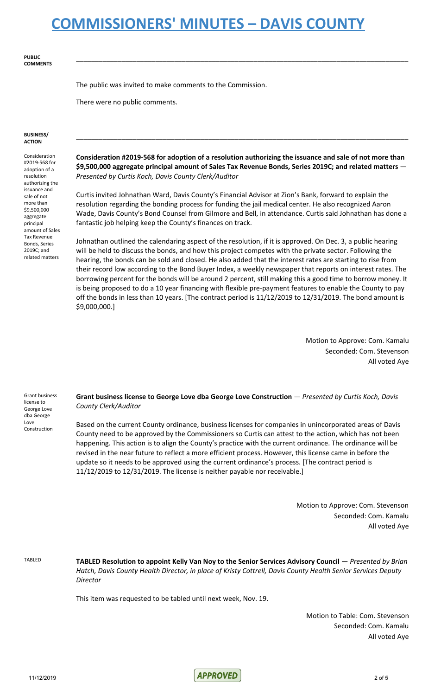**PUBLIC COMMENTS**

The public was invited to make comments to the Commission.

There were no public comments.

#### **BUSINESS/ ACTION**

Consideration #2019-568 for adoption of a resolution authorizing the issuance and sale of not more than \$9,500,000 aggregate principal amount of Sales Tax Revenue Bonds, Series 2019C; and related matters

**Consideration #2019-568 for adoption of a resolution authorizing the issuance and sale of not more than \$9,500,000 aggregate principal amount of Sales Tax Revenue Bonds, Series 2019C; and related matters** — *Presented by Curtis Koch, Davis County Clerk/Auditor*

**\_\_\_\_\_\_\_\_\_\_\_\_\_\_\_\_\_\_\_\_\_\_\_\_\_\_\_\_\_\_\_\_\_\_\_\_\_\_\_\_\_\_\_\_\_\_\_\_\_\_\_\_\_\_\_\_\_\_\_\_\_\_\_\_\_\_\_\_\_\_\_\_\_\_\_\_\_\_\_\_\_\_\_\_\_\_\_\_**

**\_\_\_\_\_\_\_\_\_\_\_\_\_\_\_\_\_\_\_\_\_\_\_\_\_\_\_\_\_\_\_\_\_\_\_\_\_\_\_\_\_\_\_\_\_\_\_\_\_\_\_\_\_\_\_\_\_\_\_\_\_\_\_\_\_\_\_\_\_\_\_\_\_\_\_\_\_\_\_\_\_\_\_\_\_\_\_\_**

Curtis invited Johnathan Ward, Davis County's Financial Advisor at Zion's Bank, forward to explain the resolution regarding the bonding process for funding the jail medical center. He also recognized Aaron Wade, Davis County's Bond Counsel from Gilmore and Bell, in attendance. Curtis said Johnathan has done a fantastic job helping keep the County's finances on track.

Johnathan outlined the calendaring aspect of the resolution, if it is approved. On Dec. 3, a public hearing will be held to discuss the bonds, and how this project competes with the private sector. Following the hearing, the bonds can be sold and closed. He also added that the interest rates are starting to rise from their record low according to the Bond Buyer Index, a weekly newspaper that reports on interest rates. The borrowing percent for the bonds will be around 2 percent, still making this a good time to borrow money. It is being proposed to do a 10 year financing with flexible pre-payment features to enable the County to pay off the bonds in less than 10 years. [The contract period is 11/12/2019 to 12/31/2019. The bond amount is \$9,000,000.]

> Motion to Approve: Com. Kamalu Seconded: Com. Stevenson All voted Aye

Grant business license to George Love dba George Love Construction

**Grant business license to George Love dba George Love Construction** — *Presented by Curtis Koch, Davis County Clerk/Auditor*

Based on the current County ordinance, business licenses for companies in unincorporated areas of Davis County need to be approved by the Commissioners so Curtis can attest to the action, which has not been happening. This action is to align the County's practice with the current ordinance. The ordinance will be revised in the near future to reflect a more efficient process. However, this license came in before the update so it needs to be approved using the current ordinance's process. [The contract period is 11/12/2019 to 12/31/2019. The license is neither payable nor receivable.]

> Motion to Approve: Com. Stevenson Seconded: Com. Kamalu All voted Aye

TABLED **TABLED Resolution to appoint Kelly Van Noy to the Senior Services Advisory Council** — *Presented by Brian Hatch, Davis County Health Director, in place of Kristy Cottrell, Davis County Health Senior Services Deputy Director*

This item was requested to be tabled until next week, Nov. 19.

Motion to Table: Com. Stevenson Seconded: Com. Kamalu All voted Aye

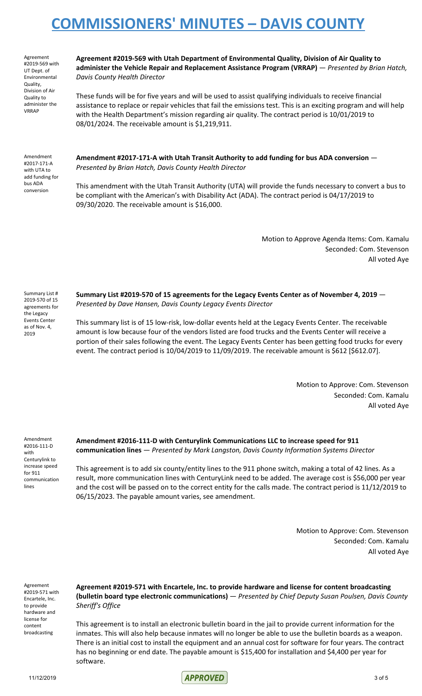Agreement #2019-569 with UT Dept. of Environmental Quality, Division of Air Quality to administer the VRRAP

**Agreement #2019-569 with Utah Department of Environmental Quality, Division of Air Quality to administer the Vehicle Repair and Replacement Assistance Program (VRRAP)** — *Presented by Brian Hatch, Davis County Health Director*

These funds will be for five years and will be used to assist qualifying individuals to receive financial assistance to replace or repair vehicles that fail the emissions test. This is an exciting program and will help with the Health Department's mission regarding air quality. The contract period is 10/01/2019 to 08/01/2024. The receivable amount is \$1,219,911.

Amendment #2017-171-A with UTA to add funding for bus ADA conversion

**Amendment #2017-171-A with Utah Transit Authority to add funding for bus ADA conversion** — *Presented by Brian Hatch, Davis County Health Director*

This amendment with the Utah Transit Authority (UTA) will provide the funds necessary to convert a bus to be compliant with the American's with Disability Act (ADA). The contract period is 04/17/2019 to 09/30/2020. The receivable amount is \$16,000.

> Motion to Approve Agenda Items: Com. Kamalu Seconded: Com. Stevenson All voted Aye

Summary List # 2019-570 of 15 agreements for the Legacy Events Center as of Nov. 4, 2019

**Summary List #2019-570 of 15 agreements for the Legacy Events Center as of November 4, 2019** — *Presented by Dave Hansen, Davis County Legacy Events Director*

This summary list is of 15 low-risk, low-dollar events held at the Legacy Events Center. The receivable amount is low because four of the vendors listed are food trucks and the Events Center will receive a portion of their sales following the event. The Legacy Events Center has been getting food trucks for every event. The contract period is 10/04/2019 to 11/09/2019. The receivable amount is \$612 [\$612.07].

> Motion to Approve: Com. Stevenson Seconded: Com. Kamalu All voted Aye

Amendment #2016-111-D with Centurylink to increase speed for 911 communication lines

**Amendment #2016-111-D with Centurylink Communications LLC to increase speed for 911 communication lines** — *Presented by Mark Langston, Davis County Information Systems Director*

This agreement is to add six county/entity lines to the 911 phone switch, making a total of 42 lines. As a result, more communication lines with CenturyLink need to be added. The average cost is \$56,000 per year and the cost will be passed on to the correct entity for the calls made. The contract period is 11/12/2019 to 06/15/2023. The payable amount varies, see amendment.

> Motion to Approve: Com. Stevenson Seconded: Com. Kamalu All voted Aye

Agreement #2019-571 with Encartele, Inc. to provide hardware and license for content broadcasting

**Agreement #2019-571 with Encartele, Inc. to provide hardware and license for content broadcasting (bulletin board type electronic communications)** — *Presented by Chief Deputy Susan Poulsen, Davis County Sheriff's Office*

This agreement is to install an electronic bulletin board in the jail to provide current information for the inmates. This will also help because inmates will no longer be able to use the bulletin boards as a weapon. There is an initial cost to install the equipment and an annual cost for software for four years. The contract has no beginning or end date. The payable amount is \$15,400 for installation and \$4,400 per year for software.

11/12/2019 3 of 5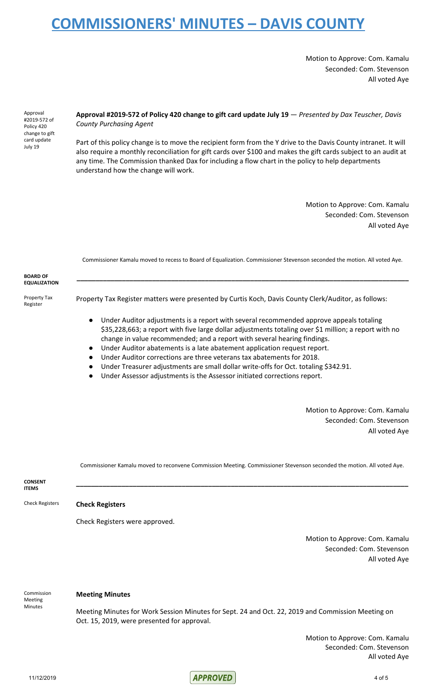Motion to Approve: Com. Kamalu Seconded: Com. Stevenson All voted Aye

Approval #2019-572 of Policy 420 change to gift card update July 19

### **Approval #2019-572 of Policy 420 change to gift card update July 19** — *Presented by Dax Teuscher, Davis County Purchasing Agent*

Part of this policy change is to move the recipient form from the Y drive to the Davis County intranet. It will also require a monthly reconciliation for gift cards over \$100 and makes the gift cards subject to an audit at any time. The Commission thanked Dax for including a flow chart in the policy to help departments understand how the change will work.

> Motion to Approve: Com. Kamalu Seconded: Com. Stevenson All voted Aye

|                                        | Commissioner Kamalu moved to recess to Board of Equalization. Commissioner Stevenson seconded the motion. All voted Aye.                                                                                                                                                                                                                                                                                                                                    |
|----------------------------------------|-------------------------------------------------------------------------------------------------------------------------------------------------------------------------------------------------------------------------------------------------------------------------------------------------------------------------------------------------------------------------------------------------------------------------------------------------------------|
| <b>BOARD OF</b><br><b>EQUALIZATION</b> |                                                                                                                                                                                                                                                                                                                                                                                                                                                             |
| Property Tax<br>Register               | Property Tax Register matters were presented by Curtis Koch, Davis County Clerk/Auditor, as follows:                                                                                                                                                                                                                                                                                                                                                        |
|                                        | Under Auditor adjustments is a report with several recommended approve appeals totaling<br>$\bullet$<br>\$35,228,663; a report with five large dollar adjustments totaling over \$1 million; a report with no<br>change in value recommended; and a report with several hearing findings.<br>Under Auditor abatements is a late abatement application request report.<br>$\bullet$<br>Under Auditor corrections are three veterans tax abatements for 2018. |

- Under Treasurer adjustments are small dollar write-offs for Oct. totaling \$342.91.
- Under Assessor adjustments is the Assessor initiated corrections report.

Motion to Approve: Com. Kamalu Seconded: Com. Stevenson All voted Aye

Commissioner Kamalu moved to reconvene Commission Meeting. Commissioner Stevenson seconded the motion. All voted Aye.

**\_\_\_\_\_\_\_\_\_\_\_\_\_\_\_\_\_\_\_\_\_\_\_\_\_\_\_\_\_\_\_\_\_\_\_\_\_\_\_\_\_\_\_\_\_\_\_\_\_\_\_\_\_\_\_\_\_\_\_\_\_\_\_\_\_\_\_\_\_\_\_\_\_\_\_\_\_\_\_\_\_\_\_\_\_\_\_\_**

**CONSENT ITEMS**

## Check Registers **Check Registers**

Check Registers were approved.

Motion to Approve: Com. Kamalu Seconded: Com. Stevenson All voted Aye

Commission Meeting **Minutes** 

### **Meeting Minutes**

Meeting Minutes for Work Session Minutes for Sept. 24 and Oct. 22, 2019 and Commission Meeting on Oct. 15, 2019, were presented for approval.

> Motion to Approve: Com. Kamalu Seconded: Com. Stevenson All voted Aye